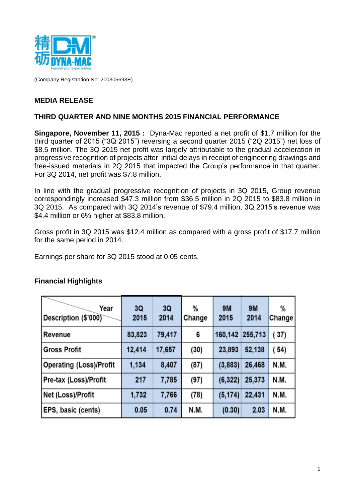

(Company Registration No: 200305693E)

# **MEDIA RELEASE**

### **THIRD QUARTER AND NINE MONTHS 2015 FINANCIAL PERFORMANCE**

**Singapore, November 11, 2015 :** Dyna-Mac reported a net profit of \$1.7 million for the third quarter of 2015 ("3Q 2015") reversing a second quarter 2015 ("2Q 2015") net loss of \$8.5 million. The 3Q 2015 net profit was largely attributable to the gradual acceleration in progressive recognition of projects after initial delays in receipt of engineering drawings and free-issued materials in 2Q 2015 that impacted the Group's performance in that quarter. For 3Q 2014, net profit was \$7.8 million.

In line with the gradual progressive recognition of projects in 3Q 2015, Group revenue correspondingly increased \$47.3 million from \$36.5 million in 2Q 2015 to \$83.8 million in 3Q 2015. As compared with 3Q 2014's revenue of \$79.4 million, 3Q 2015's revenue was \$4.4 million or 6% higher at \$83.8 million.

Gross profit in 3Q 2015 was \$12.4 million as compared with a gross profit of \$17.7 million for the same period in 2014.

Earnings per share for 3Q 2015 stood at 0.05 cents.

| Year<br>Description (\$'000)   | 3Q<br>2015 | 3Q<br>2014 | %<br>Change | <b>9M</b><br>2015 | 9M<br>2014 | %<br>Change |
|--------------------------------|------------|------------|-------------|-------------------|------------|-------------|
| Revenue                        | 83,823     | 79,417     | 6           | 160,142           | 255,713    | (37)        |
| <b>Gross Profit</b>            | 12,414     | 17,657     | (30)        | 23,893            | 52,138     | (54)        |
| <b>Operating (Loss)/Profit</b> | 1,134      | 8,407      | (87)        | (3,883)           | 26,468     | N.M.        |
| Pre-tax (Loss)/Profit          | 217        | 7,785      | (97)        | (6, 322)          | 25,373     | N.M.        |
| Net (Loss)/Profit              | 1,732      | 7,766      | (78)        | (5, 174)          | 22,431     | N.M.        |
| EPS, basic (cents)             | 0.05       | 0.74       | N.M.        | (0.30)            | 2.03       | N.M.        |

#### **Financial Highlights**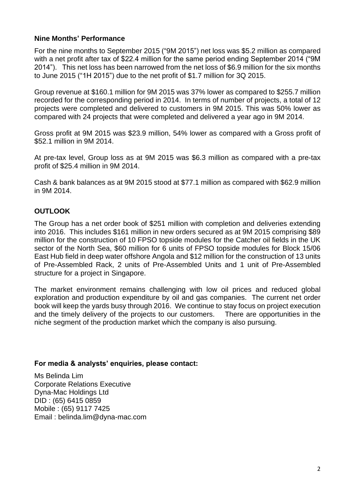# **Nine Months' Performance**

For the nine months to September 2015 ("9M 2015") net loss was \$5.2 million as compared with a net profit after tax of \$22.4 million for the same period ending September 2014 ("9M 2014"). This net loss has been narrowed from the net loss of \$6.9 million for the six months to June 2015 ("1H 2015") due to the net profit of \$1.7 million for 3Q 2015.

Group revenue at \$160.1 million for 9M 2015 was 37% lower as compared to \$255.7 million recorded for the corresponding period in 2014. In terms of number of projects, a total of 12 projects were completed and delivered to customers in 9M 2015. This was 50% lower as compared with 24 projects that were completed and delivered a year ago in 9M 2014.

Gross profit at 9M 2015 was \$23.9 million, 54% lower as compared with a Gross profit of \$52.1 million in 9M 2014.

At pre-tax level, Group loss as at 9M 2015 was \$6.3 million as compared with a pre-tax profit of \$25.4 million in 9M 2014.

Cash & bank balances as at 9M 2015 stood at \$77.1 million as compared with \$62.9 million in 9M 2014.

### **OUTLOOK**

The Group has a net order book of \$251 million with completion and deliveries extending into 2016. This includes \$161 million in new orders secured as at 9M 2015 comprising \$89 million for the construction of 10 FPSO topside modules for the Catcher oil fields in the UK sector of the North Sea, \$60 million for 6 units of FPSO topside modules for Block 15/06 East Hub field in deep water offshore Angola and \$12 million for the construction of 13 units of Pre-Assembled Rack, 2 units of Pre-Assembled Units and 1 unit of Pre-Assembled structure for a project in Singapore.

The market environment remains challenging with low oil prices and reduced global exploration and production expenditure by oil and gas companies. The current net order book will keep the yards busy through 2016. We continue to stay focus on project execution and the timely delivery of the projects to our customers. There are opportunities in the niche segment of the production market which the company is also pursuing.

#### **For media & analysts' enquiries, please contact:**

Ms Belinda Lim Corporate Relations Executive Dyna-Mac Holdings Ltd DID : (65) 6415 0859 Mobile : (65) 9117 7425 Email : belinda.lim@dyna-mac.com